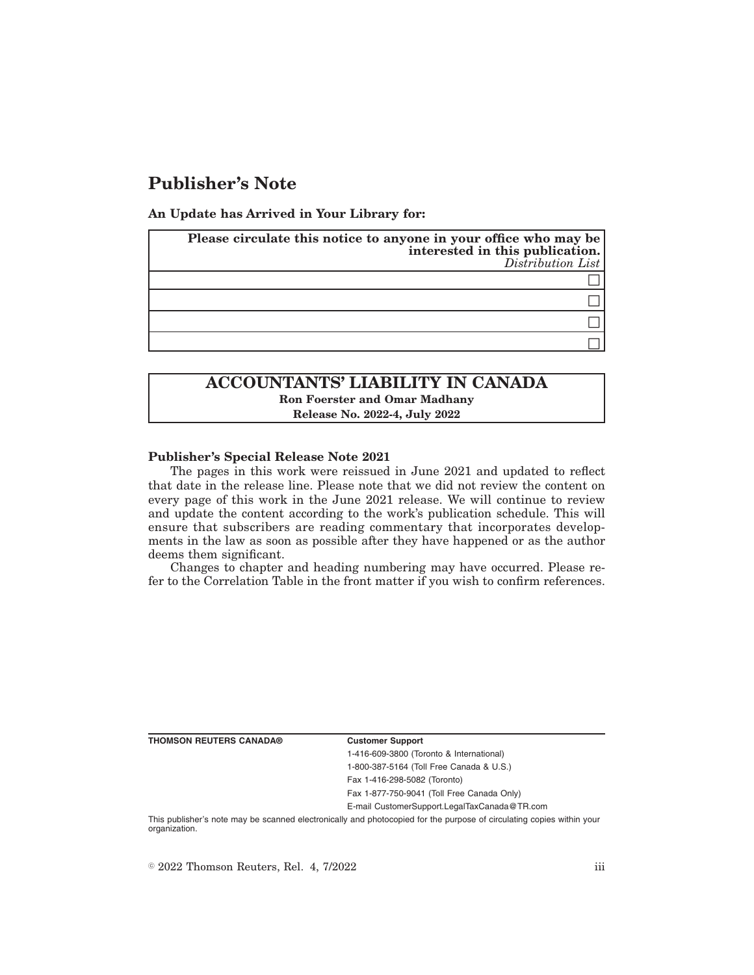# **Publisher's Note**

**An Update has Arrived in Your Library for:**

| Please circulate this notice to anyone in your office who may be<br>interested in this publication.<br>Distribution List |
|--------------------------------------------------------------------------------------------------------------------------|
|                                                                                                                          |
|                                                                                                                          |
|                                                                                                                          |
|                                                                                                                          |

## **ACCOUNTANTS' LIABILITY IN CANADA Ron Foerster and Omar Madhany Release No. 2022-4, July 2022**

### **Publisher's Special Release Note 2021**

The pages in this work were reissued in June 2021 and updated to reflect that date in the release line. Please note that we did not review the content on every page of this work in the June 2021 release. We will continue to review and update the content according to the work's publication schedule. This will ensure that subscribers are reading commentary that incorporates developments in the law as soon as possible after they have happened or as the author deems them significant.

Changes to chapter and heading numbering may have occurred. Please refer to the Correlation Table in the front matter if you wish to confirm references.

**THOMSON REUTERS CANADA® Customer Support**

1-416-609-3800 (Toronto & International) 1-800-387-5164 (Toll Free Canada & U.S.)

Fax 1-416-298-5082 (Toronto)

Fax 1-877-750-9041 (Toll Free Canada Only)

E-mail CustomerSupport.LegalTaxCanada@TR.com

This publisher's note may be scanned electronically and photocopied for the purpose of circulating copies within your organization.

 $\degree$  2022 Thomson Reuters, Rel. 4, 7/2022 iii